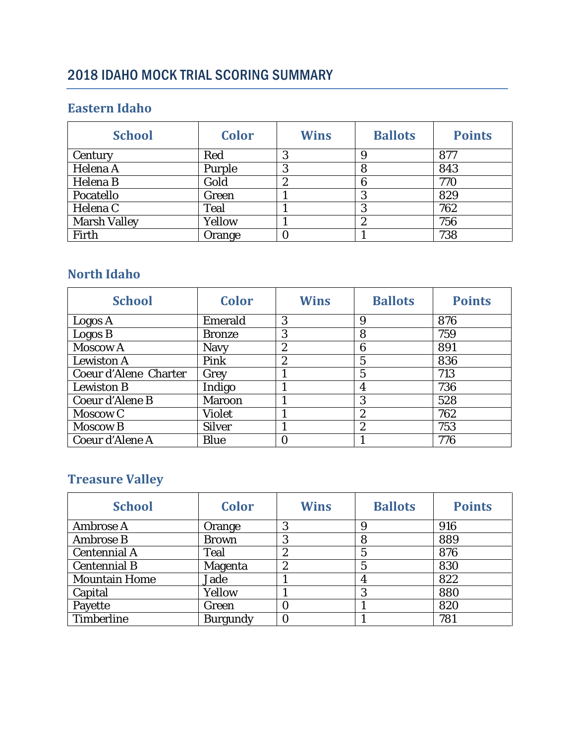# 2018 IDAHO MOCK TRIAL SCORING SUMMARY

#### **Eastern Idaho**

| <b>School</b>       | <b>Color</b> | <b>Wins</b> | <b>Ballots</b> | <b>Points</b> |
|---------------------|--------------|-------------|----------------|---------------|
| Century             | Red          | 3           |                | 877           |
| Helena A            | Purple       | 3           | 8              | 843           |
| Helena B            | Gold         | 2           | 6              | 770           |
| Pocatello           | Green        |             | 3              | 829           |
| Helena C            | <b>Teal</b>  |             | 3              | 762           |
| <b>Marsh Valley</b> | Yellow       |             | ん              | 756           |
| Firth               | Orange       | 0           |                | 738           |

### **North Idaho**

| <b>School</b>         | <b>Color</b>  | <b>Wins</b>      | <b>Ballots</b>   | <b>Points</b> |
|-----------------------|---------------|------------------|------------------|---------------|
| Logos A               | Emerald       | 3                | 9                | 876           |
| Logos B               | <b>Bronze</b> | 3                | 8                | 759           |
| Moscow A              | <b>Navy</b>   | $\boldsymbol{2}$ | 6                | 891           |
| <b>Lewiston A</b>     | Pink          | $\boldsymbol{2}$ | 5                | 836           |
| Coeur d'Alene Charter | Grey          |                  | 5                | 713           |
| <b>Lewiston B</b>     | Indigo        |                  | 4                | 736           |
| Coeur d'Alene B       | <b>Maroon</b> |                  | 3                | 528           |
| Moscow C              | <b>Violet</b> |                  | $\boldsymbol{2}$ | 762           |
| <b>Moscow B</b>       | <b>Silver</b> |                  | $\boldsymbol{2}$ | 753           |
| Coeur d'Alene A       | <b>Blue</b>   | 0                |                  | 776           |

## **Treasure Valley**

| <b>School</b>        | <b>Color</b>    | <b>Wins</b>      | <b>Ballots</b> | <b>Points</b> |
|----------------------|-----------------|------------------|----------------|---------------|
| Ambrose A            | Orange          | 3                |                | 916           |
| <b>Ambrose B</b>     | <b>Brown</b>    | 3                | 8              | 889           |
| <b>Centennial A</b>  | <b>Teal</b>     | $\boldsymbol{2}$ | 5              | 876           |
| <b>Centennial B</b>  | Magenta         | 2                | 5              | 830           |
| <b>Mountain Home</b> | Jade            |                  |                | 822           |
| Capital              | Yellow          |                  | 3              | 880           |
| Payette              | Green           | 0                |                | 820           |
| <b>Timberline</b>    | <b>Burgundy</b> |                  |                | 781           |